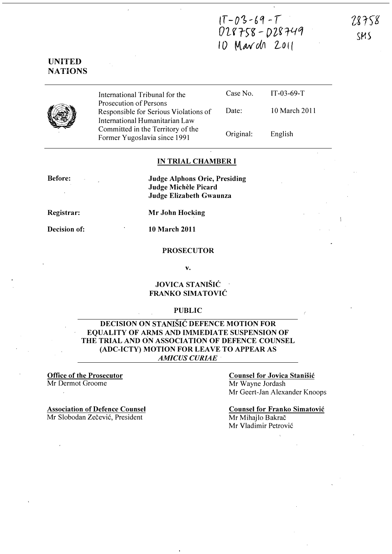$1T - 03 - 69 - T$  $028758 - 028749$ 10 March 2011

78758 SMS

# UNITED **NATIONS**



International Tribunal for the Prosecution of Persons Responsible for Serious Violations of International Humanitarian Law Committed in the Territory of the Former Yugoslavia since 1991 Case No. Date: Original:

10 March 2011

IT-03-69-T

English

#### IN TRIAL CHAMBER I

Before:

Judge Alphons Orie, Presiding Judge Michele Picard Judge Elizabeth Gwaunza

Registrar:

Mr John Hocking

Decision of: 10 March 2011

#### PROSECUTOR

v.

# JOVICA STANISIC FRANKO SIMATOVIC

### PUBLIC

# DECISION ON STANISIC DEFENCE MOTION FOR EQUALITY OF ARMS AND IMMEDIATE SUSPENSION OF THE TRIAL AND ON ASSOCIATION OF DEFENCE COUNSEL (ADC-ICTY) MOTION FOR LEAVE TO APPEAR AS AMICUS CURIAE

#### Office of the Prosecutor Mr Dermot Groome

Counsel for Jovica Stanišić Mr Wayne Jordash Mr Geert-Jan Alexander Knoops

Association of Defence Counsel Mr Slobodan Zečević, President

Counsel for Franko Simatovic Mr Mihajlo Bakrač Mr Vladimir Petrovi6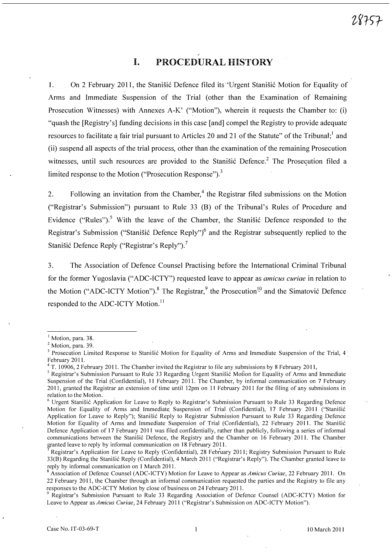# I. PROCEDURAL HISTORY

1. On 2 February 2011, the Stanisic Defence filed its 'Urgent Stanisic Motion for Equality of Arms and Immediate Suspension of the Trial (other than the Examination of Remaining Prosecution Witnesses) with Annexes A-K' ("Motion"), wherein it requests the Chamber to: (i) "quash the [Registry's] funding decisions in this case [and] compel the Registry to provide adequate resources to facilitate a fair trial pursuant to Articles 20 and 21 of the Statute" of the Tribunal;<sup>1</sup> and (ii) suspend all aspects of the trial process, other than.the examination of the remaining Prosecution witnesses, until such resources are provided to the Stanistic Defence.<sup>2</sup> The Prosecution filed a limited response to the Motion ("Prosecution Response"). $^3$ 

2. Following an invitation from the Chamber,<sup>4</sup> the Registrar filed submissions on the Motion ("Registrar's Submission") pursuant to Rule 33 (B) of the Tribunal's Rules of Procedure and Evidence ("Rules").<sup>5</sup> With the leave of the Chamber, the Stanisic Defence responded to the Registrar's Submission ("Stanišić Defence Reply")<sup>6</sup> and the Registrar subsequently replied to the Stanišić Defence Reply ("Registrar's Reply").<sup>7</sup>

3. The Association of Defence Counsel Practising before the International Criminal Tribunal for the former Yugoslavia ("ADC-ICTY") requested leave to appear as amicus curiae in relation to the Motion ("ADC-ICTY Motion").<sup>8</sup> The Registrar,  $9$  the Prosecution<sup>10</sup> and the Simatović Defence responded to the ADC-ICTY Motion.<sup>11</sup>

Motion, para. 38.

<sup>&</sup>lt;sup>2</sup> Motion, para. 39.

Trosecution Limited Response to Stanisic Motion for Equality of Arms and Immediate Suspension of the Trial, 4.<br>February 2011.

<sup>&</sup>lt;sup>4</sup> T. 10906, 2 February 2011. The Chamber invited the Registrar to file any submissions by 8 February 2011,

<sup>&</sup>lt;sup>5</sup> Registrar's Submission Pursuant to Rule 33 Regarding Urgent Stanišić Motion for Equality of Arms and Immediate Suspension of the Trial (Confidential), 11 February 201l. The Chamber, by informal communication on 7 February 2011, granted the Registrar an extension of time until 12pm on 11 February 2011 for the filing of any submissions in relation to the Motion.

<sup>&</sup>lt;sup>6</sup> Urgent Stanišić Application for Leave to Reply to Registrar's Submission Pursuant to Rule 33 Regarding Defence Motion for Equality of Arms and Immediate Suspension of Trial (Confidential), 17 February 2011 ("Stanišić Application. for Leave to Reply"); Stanisic Reply to Registrar Submission Pursuant to Rule 33 Regarding Defence Motion for Equality of Arms and Immediate Suspension of Trial (Confidential), 22 February 2011. The Stanisic . Defence Application of 17 February 2011 was filed confidentially, rather than publicly, following a series of informal communications between the Stanisic Defence, the Registry and the Chamber on 16 February 201l. The Chamber granted leave to reply by informal communication on 18 February 201l. .

<sup>7</sup>Registrar's Application for Leave to Reply '(Confidential), 28 February 2011; Registry Submission Pursuant to Rule 33(B) Regarding the Stanisic Reply (Confidential), 4 March 2011 ("Registrar's Reply"). The Chamber granted leave to reply by informal communication on 1 March 2011.

<sup>&</sup>lt;sup>8</sup> Association of Defence Counsel (ADC-ICTY) Motion for Leave to Appear as Amicus Curiae, 22 February 2011. On 22 February 2011, the Chamber through an informal communication requested the parties and the Registry to file any responses to the ADC-ICTY Motion by close of business on 24 February 2011.

<sup>&</sup>lt;sup>9</sup> Registrar's Submission Pursuant to Rule 33 Regarding Association of Defence Counsel (ADC-ICTY) Motion for Leave to Appear as Amicus Curiae, 24 February 2011 ("Registrar's Submission on ADC-ICTY Motion").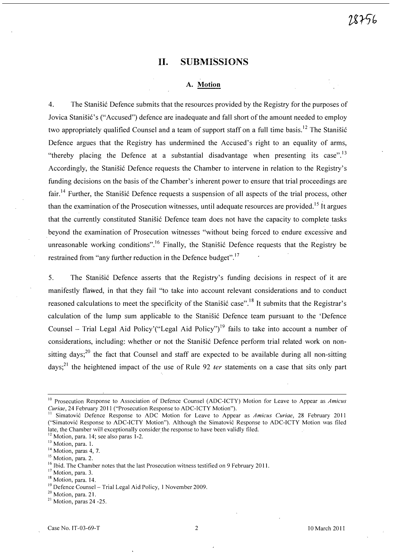# 11. SUBMISSIONS

### A. Motion

4. The Stanistic Defence submits that the resources provided by the Registry for the purposes of Jovica Stanišić's ("Accused") defence are inadequate and fall short of the amount needed to employ two appropriately qualified Counsel and a team of support staff on a full time basis.<sup>12</sup> The Stanisic Defence argues that the Registry has undermined the Accused's right to an equality of arms, "thereby placing the Defence at a substantial disadvantage when presenting its case".<sup>13</sup> Accordingly, the Stanišić Defence requests the Chamber to intervene in relation to the Registry's funding decisions on the basis of the Chamber's inherent power to ensure that trial proceedings are fair.<sup>14</sup> Further, the Stanišić Defence requests a suspension of all aspects of the trial process, other than the examination of the Prosecution witnesses, until adequate resources are provided.<sup>15</sup> It argues that the currently constituted Stanišić Defence team does not have the capacity to complete tasks beyond the examination of Prosecution witnesses "without being forced to endure excessive and unreasonable working conditions".<sup>16</sup> Finally, the Stanišić Defence requests that the Registry be restrained from "any further reduction in the Defence budget".<sup>17</sup>

5. The Stanisić Defence asserts that the Registry's funding decisions in respect of it are manifestly flawed, in that they fail "to take into account relevant considerations and to conduct reasoned calculations to meet the specificity of the Stanistic case".<sup>18</sup> It submits that the Registrar's calculation of the lump sum applicable to the Stanišić Defence team pursuant to the 'Defence Counsel – Trial Legal Aid Policy'("Legal Aid Policy")<sup>19</sup> fails to take into account a number of considerations, including: whether or not the Stanišić Defence perform trial related work on nonsitting days;<sup>20</sup> the fact that Counsel and staff are expected to be available during all non-sitting days;<sup>21</sup> the heightened impact of the use of Rule 92  $ter$  statements on a case that sits only part

<sup>&</sup>lt;sup>10</sup> Prosecution Response to Association of Defence Counsel (ADC-ICTY) Motion for Leave to Appear as Amicus Curiae, 24 February 2011 ("Prosecution Response to ADC-ICTY Motion").

<sup>&</sup>lt;sup>1</sup> Simatović Defence Response to ADC Motion for Leave to Appear as Amicus Curiae, 28 February 2011 ("Simatovic Response to ADC-ICTY Motion"). Although the Simatovic Response to ADC-ICTY Motion was filed late, the Chamber will exceptionally consider the response to have been validly filed. <sup>12</sup> Motion, para. 14; see also paras 1-2.

<sup>&</sup>lt;sup>13</sup> Motion, para. 1.

<sup>&</sup>lt;sup>14</sup> Motion, paras 4, 7.

<sup>&</sup>lt;sup>15</sup> Motion, para. 2.

<sup>&</sup>lt;sup>16</sup> Ibid. The Chamber notes that the last Prosecution witness testified on 9 February 2011.

<sup>&</sup>lt;sup>17</sup> Motion, para. 3.

<sup>&</sup>lt;sup>18</sup> Motion, para. 14.

<sup>&</sup>lt;sup>19</sup> Defence Counsel - Trial Legal Aid Policy, 1 November 2009.

 $2<sup>20</sup>$  Motion, para. 21.

 $21$  Motion, paras 24 -25.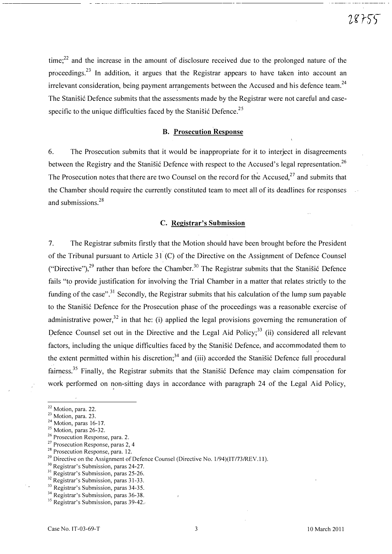time;<sup>22</sup> and the increase in the amount of disclosure received due to the prolonged nature of the proceedings.23 In addition, it argues that the Registrar appears to have taken into account an irrelevant consideration, being payment arrangements between the Accused and his defence team.<sup>24</sup> The Stanišić Defence submits that the assessments made by the Registrar were not careful and casespecific to the unique difficulties faced by the Stanisić Defence.<sup>25</sup>

# B. Prosecution Response

6. The Prosecution submits that it would be inappropriate for it to interject in disagreements between the Registry and the Stanisic Defence with respect to the Accused's legal representation.<sup>26</sup> The Prosecution notes that there are two Counsel on the record for the Accused,<sup>27</sup> and submits that the Chamber should require the currently constituted team to meet all of its deadlines for responses and submissions.<sup>28</sup>

### C. Registrar's Submission

7. The Registrar submits firstly that the Motion should have been brought before the President of the Tribunal pursuant to Article 31 (C) of the Directive on the Assignment of Defence Counsel ("Directive"),<sup>29</sup> rather than before the Chamber.<sup>30</sup> The Registrar submits that the Stanišić Defence fails "to provide justification for involving the Trial Chamber in a matter that relates strictly to the funding of the case".<sup>31</sup> Secondly, the Registrar submits that his calculation of the lump sum payable to the Stanišić Defence for the Prosecution phase of the proceedings was a reasonable exercise of administrative power,<sup>32</sup> in that he: (i) applied the legal provisions governing the remuneration of Defence Counsel set out in the Directive and the Legal Aid Policy;<sup>33</sup> (ii) considered all relevant factors, including the unique difficulties faced by the Stanišić Defence, and accommodated them to " the extent permitted within his discretion;<sup>34</sup> and (iii) accorded the Stanisic Defence full procedural fairness.<sup>35</sup> Finally, the Registrar submits that the Stanistic Defence may claim compensation for work performed on non-sitting days in accordance with paragraph 24 of the Legal Aid Policy,

<sup>&</sup>lt;sup>22</sup> Motion, para. 22.

<sup>&</sup>lt;sup>23</sup> Motion, para. 23.

 $24$  Motion, paras 16-17.

 $25$  Motion, paras 26-32.

<sup>&</sup>lt;sup>26</sup> Prosecution Response, para. 2.

 $27$  Prosecution Response, paras 2, 4

<sup>28</sup> Prosecution Response, para. 12.

<sup>&</sup>lt;sup>29</sup> Directive on the Assignment of Defence Counsel (Directive No.  $1/94$ )(IT/73/REV.11).

<sup>&</sup>lt;sup>30</sup> Registrar's Submission, paras 24-27.

<sup>&</sup>lt;sup>31</sup> Registrar's Submission, paras 25-26.

<sup>&</sup>lt;sup>32</sup> Registrar's Submission, paras 31-33.

<sup>&</sup>lt;sup>33</sup> Registrar's Submission, paras 34-35.

<sup>&</sup>lt;sup>34</sup> Registrar's Submission, paras 36-38.

<sup>&</sup>lt;sup>35</sup> Registrar's Submission, paras 39-42.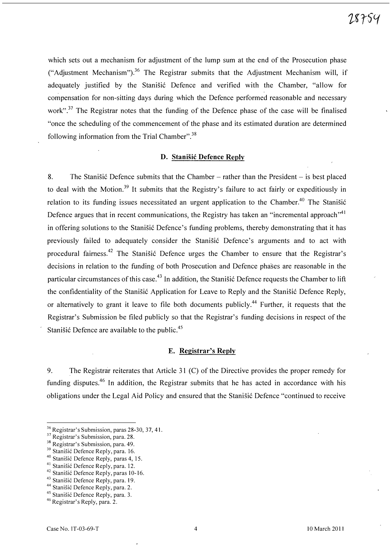which sets out a mechanism for adjustment of the lump sum at the end of the Prosecution phase ("Adjustment Mechanism").<sup>36</sup> The Registrar submits that the Adjustment Mechanism will, if adequately justified by the Stanišić Defence and verified with the Chamber, "allow for compensation for non-sitting days during which the Defence performed reasonable and necessary work".<sup>37</sup> The Registrar notes that the funding of the Defence phase of the case will be finalised "once the scheduling of the commencement of the phase and its estimated duration are determined following information from the Trial Chamber".<sup>38</sup>

#### D. Stanisic Defence Reply

8. The Stanisic Defence submits that the Chamber  $-$  rather than the President  $-$  is best placed to deal with the Motion.<sup>39</sup> It submits that the Registry's failure to act fairly or expeditiously in relation to its funding issues necessitated an urgent application to the Chamber.<sup>40</sup> The Stanišić Defence argues that in recent communications, the Registry has taken an "incremental approach".<sup>41</sup> in offering solutions to the Stanišić Defence's funding problems, thereby demonstrating that it has previously failed to adequately consider the Stanišić Defence's arguments and to act with procedural fairness.<sup>42</sup> The Stanišić Defence urges the Chamber to ensure that the Registrar's decisions in relation to the funding of both Prosecution and Defence phases are reasonable in the particular circumstances of this case.<sup>43</sup> In addition, the Stanistic Defence requests the Chamber to lift the confidentiality of the Stanišić Application for Leave to Reply and the Stanišić Defence Reply. or alternatively to grant it leave to file both documents publicly.<sup>44</sup> Further, it requests that the Registrar's Submission be filed publicly so that the Registrar's funding decisions in respect of the Stanišić Defence are available to the public. $45$ 

# E. Registrar's Reply

9. The Registrar reiterates that Article 31 (C) of the Directive provides the proper remedy for funding disputes.<sup>46</sup> In addition, the Registrar submits that he has acted in accordance with his obligations under the Legal Aid Policy and ensured that the Stanišić Defence "continued to receive

<sup>&</sup>lt;sup>36</sup> Registrar's Submission, paras 28-30, 37, 41.

<sup>&</sup>lt;sup>37</sup> Registrar's Submission, para. 28.

<sup>&</sup>lt;sup>38</sup> Registrar's Submission, para. 49.

<sup>&</sup>lt;sup>39</sup> Stanišić Defence Reply, para. 16.

<sup>&</sup>lt;sup>40</sup> Stanišić Defence Reply, paras 4, 15.

<sup>&</sup>lt;sup>41</sup> Stanišić Defence Reply, para. 12.

<sup>&</sup>lt;sup>42</sup> Stanišić Defence Reply, paras 10-16.

<sup>43</sup> Stanišić Defence Reply, para. 19.

<sup>&</sup>lt;sup>44</sup> Stanišić Defence Reply, para. 2.

<sup>45</sup> Stanišić Defence Reply, para. 3.

<sup>&</sup>lt;sup>46</sup> Registrar's Reply, para. 2.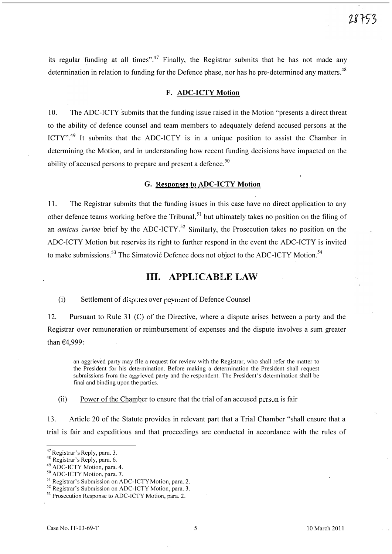its regular funding at all times".<sup>47</sup> Finally, the Registrar submits that he has not made any determination in relation to funding for the Defence phase, nor has he pre-determined any matters.<sup>48</sup>

# F. ADC-ICTY Motion

10. The ADC-ICTY submits that the funding issue raised in the Motion "presents a direct threat to the ability of defence counsel and team members to adequately defend accused persons at the ICTY".<sup>49</sup> It submits that the ADC-ICTY is in a unique position to assist the Chamber in determining the Motion, and in understanding how recent funding decisions have impacted on the ability of accused persons to prepare and present a defence.<sup>50</sup>

### G. Responses to ADC-ICTY Motion

11. The Registrar submits that the funding issues in this case have no direct application to any other defence teams working before the Tribunal,<sup>51</sup> but ultimately takes no position on the filing of an *amicus curiae* brief by the ADC-ICTY.<sup>52</sup> Similarly, the Prosecution takes no position on the ADC-ICTY Motion but reserves its right to further respond in the event the ADC-ICTY is invited to make submissions.<sup>53</sup> The Simatović Defence does not object to the ADC-ICTY Motion.<sup>54</sup>

# Ill. APPLICABLE LAW

### (i) Settlement of disputes over payment of Defence Counsel

12. Pursuant to Rule 31 (C) of the Directive, where a dispute arises between a party and the Registrar over remuneration or reimbursement of expenses and the dispute involves a sum greater than €4,999:

an aggrieved party may file a request for review with the Registrar, who shall refer the matter to the President for his determination. Before making a determination the President shall request submissions from the aggrieved party and the respondent. The President's determination shall be final and binding upon the parties.

(ii) Power of the Chamber to ensure that the trial of an accused person is fair

13. Article 20 of the Statute provides in relevant part that a Trial Chamber "shall ensure that a trial is fair and expeditious and that proceedings are conducted in accordance with the rules of

<sup>&</sup>lt;sup>47</sup> Registrar's Reply, para. 3.

<sup>&</sup>lt;sup>48</sup> Registrar's Reply, para. 6.

<sup>49</sup>ADC-]CTY Motion, para. 4.

<sup>&</sup>lt;sup>50</sup> ADC-ICTY Motion, para. 7.

<sup>&</sup>lt;sup>51</sup> Registrar's Submission on ADC-ICTY Motion, para. 2.

<sup>&</sup>lt;sup>52</sup> Registrar's Submission on ADC-ICTY Motion, para. 3.

<sup>&</sup>lt;sup>53</sup> Prosecution Response to ADC-ICTY Motion, para. 2.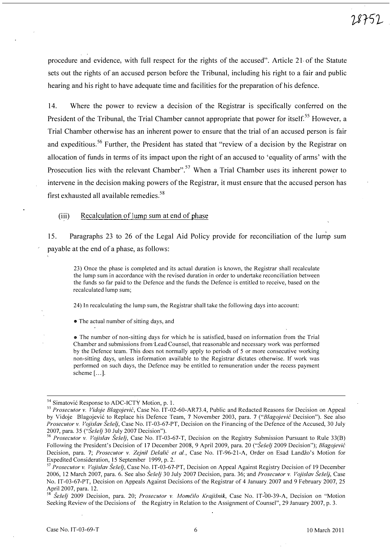procedure and evidence, with full respect for the rights of the accused". Article 21 of the Statute sets out the rights of an accused person before the Tribunal, including his right to a fair and public hearing and his right to have adequate time and facilities for the preparation of his defence.

14. Where the power to review a decision of the Registrar is specifically conferred on the President of the Tribunal, the Trial Chamber cannot appropriate that power for itself.<sup>55</sup> However, a Trial Chamber otherwise has an inherent power to ensure that the trial of an accused person is fair and expeditious.<sup>56</sup> Further, the President has stated that "review of a decision by the Registrar on allocation of funds in terms of its impact upon the right of an accused to 'equality of arms' with the Prosecution lies with the relevant Chamber".<sup>57</sup> When a Trial Chamber uses its inherent power to intervene in the decision making powers of the Registrar, it must ensure that the accused person has first exhausted all available remedies.<sup>58</sup>

(iii) Recalculation of lump sum at end of phase

15. Paragraphs 23 to 26 of the Legal Aid Policy provide for reconciliation of the lump sum payable at the end of a phase, as follows:

23) Once the phase is completed and its actual duration is known, the Registrar shall recalculate the lump sum in accordance with the revised duration in order to undertake reconciliation between the funds so far paid to the Defence and the funds the Defence is entitled to receive, based on the recalculated lump sum;

24) In recalculating the lump sum, the Registrar shall take the following days into account:

• The actual number of sitting days, and

• The number of non-sitting days for which he is satisfied, based on information from the Trial Chamber and submissions from'Lead Counsel, that reasonable and necessary work was performed by the Defence team. This does not normally apply to periods of 5 or more consecutive working non-sitting days, unless information available to the Registrar dictates otherwise. If work was performed on such days, the Defence may be entitled to remuneration under the recess payment scheme [...].

<sup>&</sup>lt;sup>54</sup> Simatović Response to ADC-ICTY Motion, p. 1.

<sup>&</sup>lt;sup>55</sup> Prosecutor v. Vidoje Blagojević, Case No. IT-02-60-AR73.4, Public and Redacted Reasons for Decision on Appeal by Vidoje Blagojević to Replace his Defence Team, 7 November 2003, para. 7 ("Blagojević Decision"). See also Prosecutor v. Vojislav Šešelj, Case No. IT-03-67-PT, Decision on the Financing of the Defence of the Accused, 30 July 2007, para. 35 ("Sešelj 30 July 2007 Decision").

<sup>&</sup>lt;sup>56</sup> Prosecutor v. Vojislav Šešelj, Case No. IT-03-67-T, Decision on the Registry Submission Pursuant to Rule 33(B) Following the President's Decision of 17 December 2008, 9 April 2009, para. 20 ("Šešelj 2009 Decision"); Blagojević Decision, para. 7; Prosecutor v. Zejnil Delalić et al., Case No. IT-96-21-A, Order on Esad Landžo's Motion for Expedited Consideration, 15 September 1999, p. 2.

<sup>&</sup>lt;sup>57</sup> Prosecutor v. Vojislav Šešelj, Case No. IT-03-67-PT, Decision on Appeal Against Registry Decision of 19 December 2006, 12 March 2007, para. 6. See also Seselj 30 July 2007 Decision, para. 36; and Prosecutor v. Vojislav Šešelj, Case No. IT-03-67-PT, Decision on Appeals Against Decisions of the Registrar of 4 January. 2007 and 9 February 2007, 25 April 2007, para. 12.

<sup>&</sup>lt;sup>58</sup> Šešelj 2009 Decision, para. 20; Prosecutor v. Momčilo Krajišnik, Case No. IT-00-39-A, Decision on "Motion Seeking Revicw of the Decisions of the Registry in Relation to thc Assignment of Counsel", 29 January 2007, p. 3.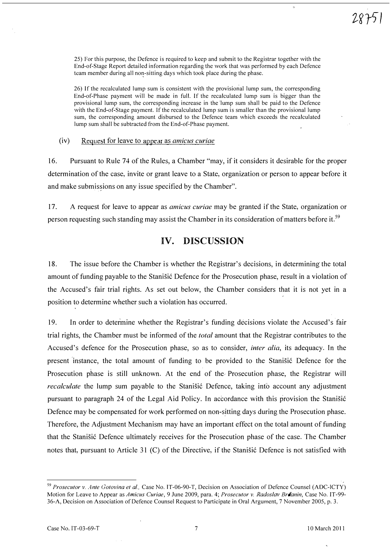25) For this purpose, the Defence is required to keep and submit to the Registrar together with the End-of-Stage Report detailed information regarding the work that was performed by each Defence tcam member during all non-sitting days which took place during the phase.

26) If the recalculated lump sum is consistent with the provisional lump sum, the corresponding End-of-Phase payment will be made in full. If the recalculated lump sum is bigger than the provisional lump sum, the corresponding increase in the 'lump sum shall be paid to the Defence with the End-of-Stage payment. If the recalculated lump sum is smaller than the provisional lump sum, the corresponding amount disbursed to the Defence team which exceeds the recalculated lump sum shall be subtracted from the End-of-Phase payment.

(iv) Request for leave to appear as amicus curiae

16. Pursuant to Rule 74 of the Rules, a Chamber "may, if it considers it desirable for the proper determination of the case, invite or grant leave to a State, organization or person to appear before it and make submissions on any issue specified by the Chamber".

17. A request for leave to appear as *amicus curiae* may be granted if the State, organization or person requesting such standing may assist the Chamber in its consideration of matters before it.<sup>59</sup>

# IV. DISCUSSION

18. The issue before the Chamber is whether the Registrar's decisions, in determining the total amount of funding payable to the Stanisic Defence for the Prosecution phase, result in a violation of the Accused's fair trial rights. As set out below, the Chamber considers that it is not yet in a position to determine whether such a violation has occurred.

19. In order to determine whether the Registrar's funding decisions violate the Accused's fair trial rights, the Chamber must be informed of the *total* amount that the Registrar contributes to the Accused's defence for the Prosecution phase, so as to consider, *inter alia*, its adequacy. In the present instance, the total amount of funding to be provided to the Stanisić Defence for the Prosecution phase is still unknown. At the end of the Prosecution phase, the Registrar will *recalculate* the lump sum payable to the Stanisić Defence, taking into account any adjustment pursuant to paragraph 24 of the Legal Aid Policy. In accordance with this provision the Stanisi6 Defence may be compensated for work performed on non-sitting days during the Prosecution phase. Therefore, the Adjustment Mechanism may have an important effect on the total amount of funding that the Stanisić Defence ultimately receives for the Prosecution phase of the case. The Chamber notes that, pursuant to Article 31 (C) of the Directive, if the Stanisic Defence is not satisfied with

<sup>&</sup>lt;sup>59</sup> Prosecutor v. Ante Gotovina et al., Case No. IT-06-90-T, Decision on Association of Defence Counsel (ADC-lCTY) Motion for Leave to Appear as Amicus Curiae, 9 June 2009, para. 4; Prosecutor v. Radoslav Britanin, Case No. IT-99-36-A, Decision on Association of Defence Counsel Request to Participate in Oral Argument, 7 November 2005, p. 3.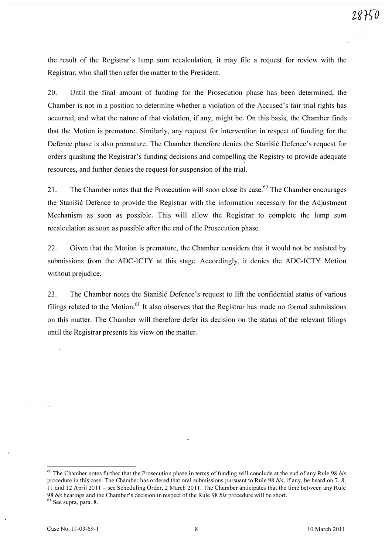the result of the Registrar's lump sum recalculation, it may file a request for review with the Registrar, who shall then refer the matter to the President.

20. Until the final amount of funding for the Prosecution phase has been determined, the Chamber is not in a position to determine whether a violation of the Accused's fair trial rights has occurred, and what the nature of that violation, if any, might be. On this basis, the Chamber finds that the Motion is premature. Similarly, any request for intervention in respect of funding for the Defence phase is also premature. The Chamber therefore denies the Stanisić Defence's request for orders quashing the Registrar's funding decisions and compelling the Registry to provide adequate resources, and further denies the request for suspension of the trial.

21. The Chamber notes that the Prosecution will soon close its case.<sup>60</sup> The Chamber encourages the Stanišić Defence to provide the Registrar with the information necessary for the Adjustment Mechanism as soon as possible. This will allow the Registrar to complete the lump sum recalculation as soon as possible after the end of the Prosecution phase.

22. Given that the Motion is premature, the Chamber considers that it would not be assisted by submissions from the ADC-ICTY at this stage. Accordingly, it denies the ADC-ICTY Motion without prejudice.

23. The Chamber notes the Stanišić Defence's request to lift the confidential status of various filings related to the Motion.<sup>61</sup> It also observes that the Registrar has made no formal submissions on this matter. The Chamber will therefore defer its decision on the status of the relevant filings until the Registrar presents his view on the matter.

 $60$  The Chamber notes further that the Prosecution phase in terms of funding will conclude at the end of any Rule 98 bis procedure in this case. The Chamber has ordered that oral submissions pursuant to Rule 98 his, if any, be heard on 7, 8, 11 and 12 April 2011 - see Scheduling Order, 2 March 2011. The Chamber anticipates that the time between any Rule 98 bis hearings and the Chamber's decision in respect of the Rule 98 bis procedure will be short.

<sup>&</sup>lt;sup>61</sup> See supra, para. 8.